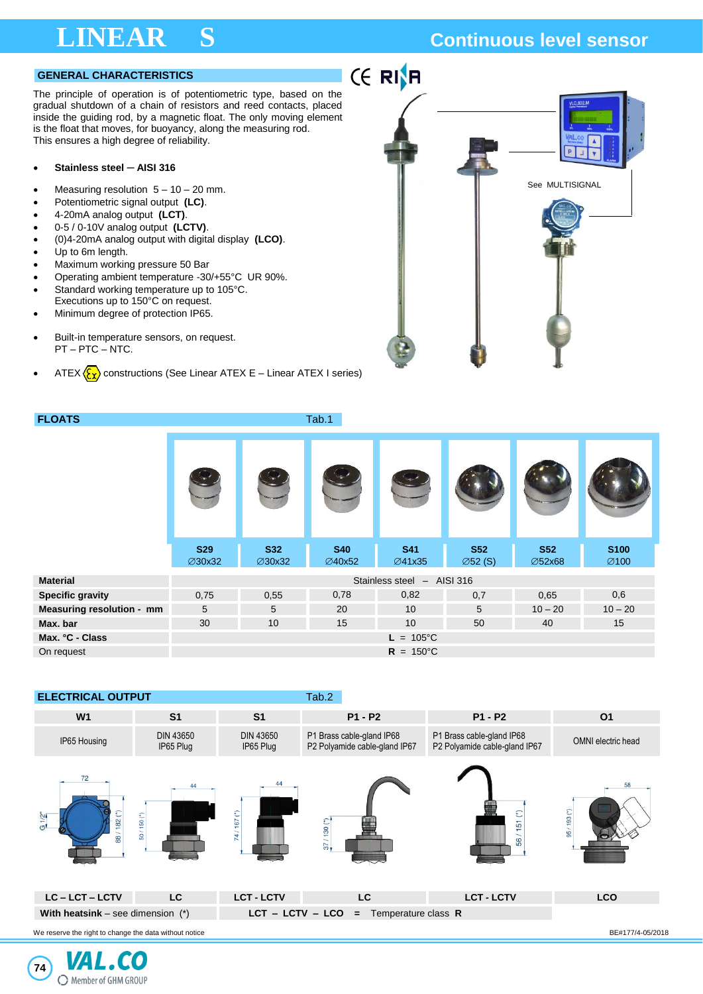## **LINEAR S Continuous level sensor**

### **GENERAL CHARACTERISTICS**

The principle of operation is of potentiometric type, based on the gradual shutdown of a chain of resistors and reed contacts, placed inside the guiding rod, by a magnetic float. The only moving element is the float that moves, for buoyancy, along the measuring rod. This ensures a high degree of reliability.

### • **Stainless steel ─ AISI 316**

- Measuring resolution  $5 10 20$  mm.
- Potentiometric signal output **(LC)**.
- 4-20mA analog output **(LCT)**.
- 0-5 / 0-10V analog output **(LCTV)**.
- (0)4-20mA analog output with digital display **(LCO)**.
- Up to 6m length.
- Maximum working pressure 50 Bar
- Operating ambient temperature -30/+55°C UR 90%.
- Standard working temperature up to 105°C. Executions up to 150°C on request.
- Minimum degree of protection IP65.
- Built-in temperature sensors, on request. PT – PTC – NTC.
- ATEX  $\langle \xi_{\mathbf{x}} \rangle$  constructions (See Linear ATEX E Linear ATEX I series)

**FLOATS** Tab.1



|                           | <b>S29</b><br>∅30x32       | <b>S32</b><br>∅30x32 | <b>S40</b><br>∅40x52 | <b>S41</b><br>∅41x35 | <b>S52</b><br>$\varnothing$ 52 (S) | <b>S52</b><br><b>∅52x68</b> | <b>S100</b><br>$\varnothing$ 100 |  |  |  |
|---------------------------|----------------------------|----------------------|----------------------|----------------------|------------------------------------|-----------------------------|----------------------------------|--|--|--|
| <b>Material</b>           | Stainless steel - AISI 316 |                      |                      |                      |                                    |                             |                                  |  |  |  |
| <b>Specific gravity</b>   | 0,75                       | 0,55                 | 0,78                 | 0,82                 | 0,7                                | 0.65                        | 0,6                              |  |  |  |
| Measuring resolution - mm | 5                          | 5                    | 20                   | 10                   | 5                                  | $10 - 20$                   | $10 - 20$                        |  |  |  |
| Max. bar                  | 30                         | 10                   | 15                   | 10                   | 50                                 | 40                          | 15                               |  |  |  |
| Max. °C - Class           |                            |                      |                      | $L = 105^{\circ}C$   |                                    |                             |                                  |  |  |  |
| On request                | $R = 150^{\circ}C$         |                      |                      |                      |                                    |                             |                                  |  |  |  |



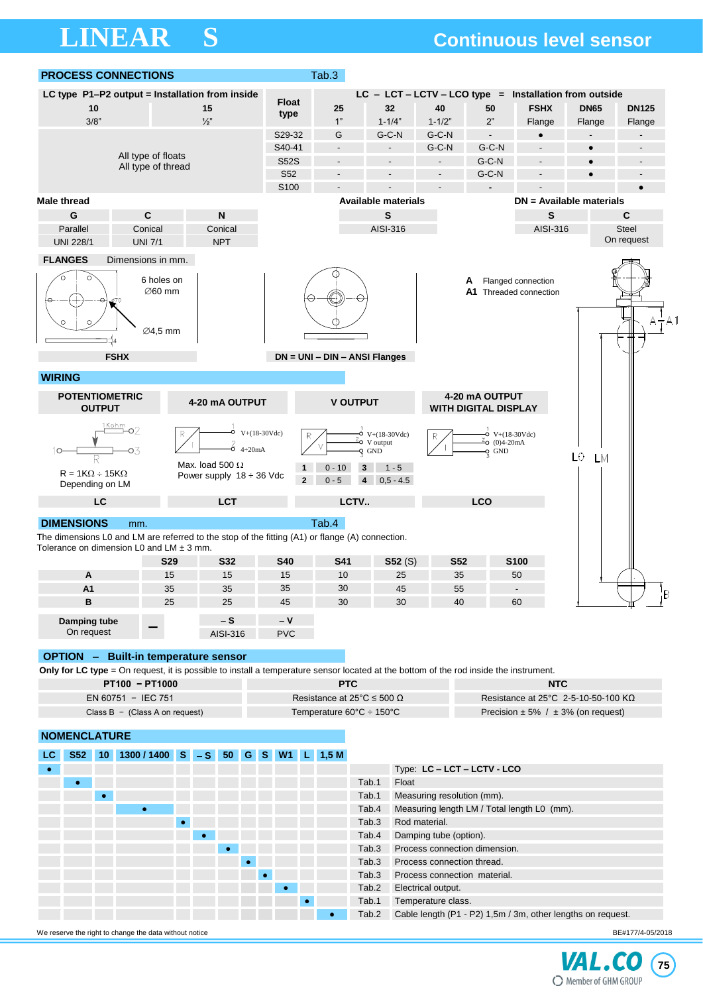## **LINEAR S Continuous level sensor**

| <b>PROCESS CONNECTIONS</b>                                                                                                            |                                                                                                             |                 | Tab.3                                |                                                                                 |                                     |                                                                       |                    |                                            |              |
|---------------------------------------------------------------------------------------------------------------------------------------|-------------------------------------------------------------------------------------------------------------|-----------------|--------------------------------------|---------------------------------------------------------------------------------|-------------------------------------|-----------------------------------------------------------------------|--------------------|--------------------------------------------|--------------|
| LC type P1-P2 output = Installation from inside                                                                                       |                                                                                                             |                 |                                      | $LC - LCT - LCTV - LCO$ type = Installation from outside                        |                                     |                                                                       |                    |                                            |              |
| 10                                                                                                                                    | 15                                                                                                          | <b>Float</b>    | 25                                   | 32                                                                              | 40                                  | 50                                                                    | <b>FSHX</b>        | <b>DN65</b>                                | <b>DN125</b> |
| 3/8"                                                                                                                                  | $\frac{1}{2}$                                                                                               | type            | 1"                                   | $1 - 1/4"$                                                                      | $1 - 1/2"$                          | 2"                                                                    | Flange             | Flange                                     | Flange       |
|                                                                                                                                       |                                                                                                             | S29-32          | G                                    | G-C-N                                                                           | $G-C-N$                             | $\overline{a}$                                                        |                    |                                            |              |
|                                                                                                                                       | S40-41                                                                                                      | $\overline{a}$  |                                      | G-C-N                                                                           | $G-C-N$                             |                                                                       | $\bullet$          |                                            |              |
| All type of floats                                                                                                                    | <b>S52S</b>                                                                                                 | $\overline{a}$  |                                      |                                                                                 | G-C-N                               |                                                                       |                    |                                            |              |
| All type of thread                                                                                                                    |                                                                                                             | S <sub>52</sub> |                                      |                                                                                 |                                     | $G-C-N$                                                               |                    |                                            |              |
|                                                                                                                                       |                                                                                                             | S100            |                                      |                                                                                 |                                     |                                                                       |                    |                                            |              |
| <b>Male thread</b>                                                                                                                    |                                                                                                             |                 |                                      | <b>Available materials</b>                                                      |                                     |                                                                       |                    | DN = Available materials                   |              |
| C<br>G                                                                                                                                | $\boldsymbol{\mathsf{N}}$                                                                                   |                 |                                      | $\mathbf s$                                                                     |                                     |                                                                       | S                  |                                            | $\mathbf c$  |
| Parallel<br>Conical                                                                                                                   | Conical                                                                                                     |                 |                                      | AISI-316                                                                        |                                     |                                                                       | AISI-316           |                                            | <b>Steel</b> |
| <b>UNI 7/1</b><br><b>UNI 228/1</b>                                                                                                    | <b>NPT</b>                                                                                                  |                 |                                      |                                                                                 |                                     |                                                                       |                    |                                            | On request   |
| <b>FLANGES</b><br>Dimensions in mm.                                                                                                   |                                                                                                             |                 |                                      |                                                                                 |                                     |                                                                       |                    |                                            |              |
| o<br>‡4                                                                                                                               | 6 holes on<br>$\varnothing$ 60 mm<br>∅4,5 mm                                                                |                 |                                      |                                                                                 |                                     | A<br>A1 Threaded connection                                           | Flanged connection |                                            | $A - A1$     |
| <b>FSHX</b><br><b>WIRING</b>                                                                                                          |                                                                                                             |                 |                                      | $DN = UNI - DIN - ANSI Flanges$                                                 |                                     |                                                                       |                    |                                            |              |
|                                                                                                                                       |                                                                                                             |                 |                                      |                                                                                 |                                     |                                                                       |                    |                                            |              |
| <b>POTENTIOMETRIC</b><br><b>OUTPUT</b>                                                                                                | 4-20 mA OUTPUT                                                                                              |                 |                                      | <b>V OUTPUT</b>                                                                 |                                     | 4-20 mA OUTPUT<br><b>WITH DIGITAL DISPLAY</b>                         |                    |                                            |              |
| Kohm<br>$R = 1K\Omega \div 15K\Omega$<br>Depending on LM                                                                              | $V+(18-30Vdc)$<br>R<br>$\frac{2}{6}$<br>$4\div 20$ mA<br>Max. load 500 (2)<br>Power supply $18 \div 36$ Vdc | $\overline{2}$  | R<br>$0 - 10$<br>$0 - 5$             | $V+(18-30Vdc)$<br>⊸2<br>V output<br>$Q$ GND<br>3<br>$1 - 5$<br>$0.5 - 4.5$<br>4 |                                     | $O$ V+ $(18-30Vdc)$<br>$\frac{2}{3}$ o (0)4-20mA<br>$\frac{1}{2}$ GND |                    | L0<br><b>LM</b>                            |              |
| LC                                                                                                                                    | <b>LCT</b>                                                                                                  |                 |                                      | LCTV                                                                            |                                     | LCO                                                                   |                    |                                            |              |
|                                                                                                                                       |                                                                                                             |                 |                                      |                                                                                 |                                     |                                                                       |                    |                                            |              |
| <b>DIMENSIONS</b><br>mm.<br>The dimensions L0 and LM are referred to the stop of the fitting (A1) or flange (A) connection.           |                                                                                                             |                 | Tab.4                                |                                                                                 |                                     |                                                                       |                    |                                            |              |
| Tolerance on dimension L0 and LM $\pm$ 3 mm.                                                                                          |                                                                                                             |                 |                                      |                                                                                 |                                     |                                                                       |                    |                                            |              |
|                                                                                                                                       | <b>S29</b><br><b>S32</b>                                                                                    | <b>S40</b>      | S41                                  | S52(S)                                                                          | <b>S52</b>                          |                                                                       | <b>S100</b>        |                                            |              |
| A                                                                                                                                     | 15<br>15                                                                                                    | 15              | 10                                   | 25                                                                              | 35                                  |                                                                       | 50                 |                                            |              |
| A <sub>1</sub>                                                                                                                        | 35<br>35                                                                                                    | 35              | 30                                   | 45                                                                              | 55                                  |                                                                       |                    |                                            | B            |
| в                                                                                                                                     | 25<br>25                                                                                                    | 45              | 30                                   | 30                                                                              | 40                                  |                                                                       | 60                 |                                            |              |
| Damping tube                                                                                                                          | $-S$                                                                                                        | $-V$            |                                      |                                                                                 |                                     |                                                                       |                    |                                            |              |
| On request                                                                                                                            | AISI-316                                                                                                    | <b>PVC</b>      |                                      |                                                                                 |                                     |                                                                       |                    |                                            |              |
|                                                                                                                                       |                                                                                                             |                 |                                      |                                                                                 |                                     |                                                                       |                    |                                            |              |
| <b>OPTION</b> - Built-in temperature sensor                                                                                           |                                                                                                             |                 |                                      |                                                                                 |                                     |                                                                       |                    |                                            |              |
| Only for LC type = On request, it is possible to install a temperature sensor located at the bottom of the rod inside the instrument. |                                                                                                             |                 |                                      |                                                                                 |                                     |                                                                       |                    |                                            |              |
| PT100 - PT1000                                                                                                                        |                                                                                                             | <b>PTC</b>      |                                      |                                                                                 | <b>NTC</b>                          |                                                                       |                    |                                            |              |
| EN 60751 - IEC 751                                                                                                                    |                                                                                                             |                 | Resistance at 25 $°C \le 500 \Omega$ |                                                                                 | Resistance at 25°C 2-5-10-50-100 KΩ |                                                                       |                    |                                            |              |
| Class $B - (Class A on request)$                                                                                                      |                                                                                                             |                 |                                      | Temperature 60°C ÷ 150°C                                                        |                                     |                                                                       |                    | Precision $\pm$ 5% / $\pm$ 3% (on request) |              |
| <b>NOMENCLATURE</b>                                                                                                                   |                                                                                                             |                 |                                      |                                                                                 |                                     |                                                                       |                    |                                            |              |
| LC.                                                                                                                                   | S52 10 1300/1400 S - S 50 G S W1 L 1,5 M                                                                    |                 |                                      |                                                                                 |                                     |                                                                       |                    |                                            |              |
|                                                                                                                                       |                                                                                                             |                 |                                      |                                                                                 |                                     | Type: LC - LCT - LCTV - LCO                                           |                    |                                            |              |
|                                                                                                                                       |                                                                                                             |                 |                                      | Tab.1<br>Float                                                                  |                                     |                                                                       |                    |                                            |              |
|                                                                                                                                       |                                                                                                             |                 |                                      | Tab.1                                                                           | Measuring resolution (mm).          |                                                                       |                    |                                            |              |

**EXECUTE:** Tab.4 Measuring length LM / Total length L0 (mm).

Tab.2 Cable length (P1 - P2) 1,5m / 3m, other lengths on request.

● Tab.3 Process connection dimension. ● Tab.3 Process connection thread. ● Tab.3 Process connection material. ● Tab.2 Electrical output. ● Tab.1 Temperature class.

● Tab.3 Rod material.

● **Tab.4** Damping tube (option).



We reserve the right to change the data without notice BE#177/4-05/2018